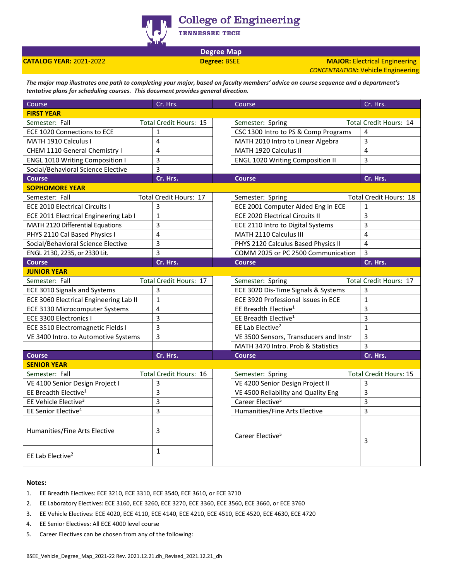

**College of Engineering** 

TENNESSEE TECH

**Degree Map**

**CATALOG YEAR:** 2021-2022 **Degree:** BSEE **MAJOR:** Electrical Engineering *CONCENTRATION***:** Vehicle Engineering

*The major map illustrates one path to completing your major, based on faculty members' advice on course sequence and a department's tentative plans for scheduling courses. This document provides general direction.* 

| Course                                   | Cr. Hrs.                      |  | Course                                            | Cr. Hrs.                      |
|------------------------------------------|-------------------------------|--|---------------------------------------------------|-------------------------------|
| <b>FIRST YEAR</b>                        |                               |  |                                                   |                               |
| Semester: Fall                           | <b>Total Credit Hours: 15</b> |  | Semester: Spring                                  | Total Credit Hours: 14        |
| ECE 1020 Connections to ECE              | $\mathbf{1}$                  |  | CSC 1300 Intro to PS & Comp Programs              | 4                             |
| MATH 1910 Calculus I                     | 4                             |  | MATH 2010 Intro to Linear Algebra                 | 3                             |
| CHEM 1110 General Chemistry I            | 4                             |  | MATH 1920 Calculus II                             | $\overline{4}$                |
| <b>ENGL 1010 Writing Composition I</b>   | 3                             |  | <b>ENGL 1020 Writing Composition II</b>           | 3                             |
| Social/Behavioral Science Elective       | 3                             |  |                                                   |                               |
| <b>Course</b>                            | Cr. Hrs.                      |  | <b>Course</b>                                     | Cr. Hrs.                      |
| <b>SOPHOMORE YEAR</b>                    |                               |  |                                                   |                               |
| Semester: Fall<br>Total Credit Hours: 17 |                               |  | <b>Total Credit Hours: 18</b><br>Semester: Spring |                               |
| <b>ECE 2010 Electrical Circuits I</b>    | 3                             |  | ECE 2001 Computer Aided Eng in ECE                | $\mathbf{1}$                  |
| ECE 2011 Electrical Engineering Lab I    | $\mathbf 1$                   |  | <b>ECE 2020 Electrical Circuits II</b>            | 3                             |
| MATH 2120 Differential Equations         | 3                             |  | ECE 2110 Intro to Digital Systems                 | 3                             |
| PHYS 2110 Cal Based Physics I            | 4                             |  | MATH 2110 Calculus III                            | $\overline{4}$                |
| Social/Behavioral Science Elective       | 3                             |  | PHYS 2120 Calculus Based Physics II               | 4                             |
| ENGL 2130, 2235, or 2330 Lit.            | 3                             |  | COMM 2025 or PC 2500 Communication                | 3                             |
| <b>Course</b>                            | Cr. Hrs.                      |  | <b>Course</b>                                     | Cr. Hrs.                      |
| <b>JUNIOR YEAR</b>                       |                               |  |                                                   |                               |
| Semester: Fall                           | Total Credit Hours: 17        |  | Semester: Spring                                  | Total Credit Hours: 17        |
| ECE 3010 Signals and Systems             | 3                             |  | ECE 3020 Dis-Time Signals & Systems               | 3                             |
| ECE 3060 Electrical Engineering Lab II   | $\mathbf{1}$                  |  | ECE 3920 Professional Issues in ECE               | $\mathbf{1}$                  |
| ECE 3130 Microcomputer Systems           | 4                             |  | EE Breadth Elective <sup>1</sup>                  | 3                             |
| ECE 3300 Electronics I                   | 3                             |  | EE Breadth Elective <sup>1</sup>                  | 3                             |
| ECE 3510 Electromagnetic Fields I        | 3                             |  | EE Lab Elective <sup>2</sup>                      | $\mathbf{1}$                  |
| VE 3400 Intro. to Automotive Systems     | 3                             |  | VE 3500 Sensors, Transducers and Instr            | 3                             |
|                                          |                               |  | MATH 3470 Intro. Prob & Statistics                | $\overline{3}$                |
| <b>Course</b>                            | Cr. Hrs.                      |  | <b>Course</b>                                     | Cr. Hrs.                      |
| <b>SENIOR YEAR</b>                       |                               |  |                                                   |                               |
| Semester: Fall                           | <b>Total Credit Hours: 16</b> |  | Semester: Spring                                  | <b>Total Credit Hours: 15</b> |
| VE 4100 Senior Design Project I          | 3                             |  | VE 4200 Senior Design Project II                  | 3                             |
| EE Breadth Elective <sup>1</sup>         | 3                             |  | VE 4500 Reliability and Quality Eng               | 3                             |
| EE Vehicle Elective <sup>3</sup>         | 3                             |  | Career Elective <sup>5</sup>                      | 3                             |
| EE Senior Elective <sup>4</sup>          | 3                             |  | Humanities/Fine Arts Elective                     | 3                             |
| Humanities/Fine Arts Elective            | 3                             |  | Career Elective <sup>5</sup>                      | 3                             |
| EE Lab Elective <sup>2</sup>             | $\mathbf{1}$                  |  |                                                   |                               |

## **Notes:**

- 1. EE Breadth Electives: ECE 3210, ECE 3310, ECE 3540, ECE 3610, or ECE 3710
- 2. EE Laboratory Electives: ECE 3160, ECE 3260, ECE 3270, ECE 3360, ECE 3560, ECE 3660, or ECE 3760
- 3. EE Vehicle Electives: ECE 4020, ECE 4110, ECE 4140, ECE 4210, ECE 4510, ECE 4520, ECE 4630, ECE 4720
- 4. EE Senior Electives: All ECE 4000 level course
- 5. Career Electives can be chosen from any of the following: